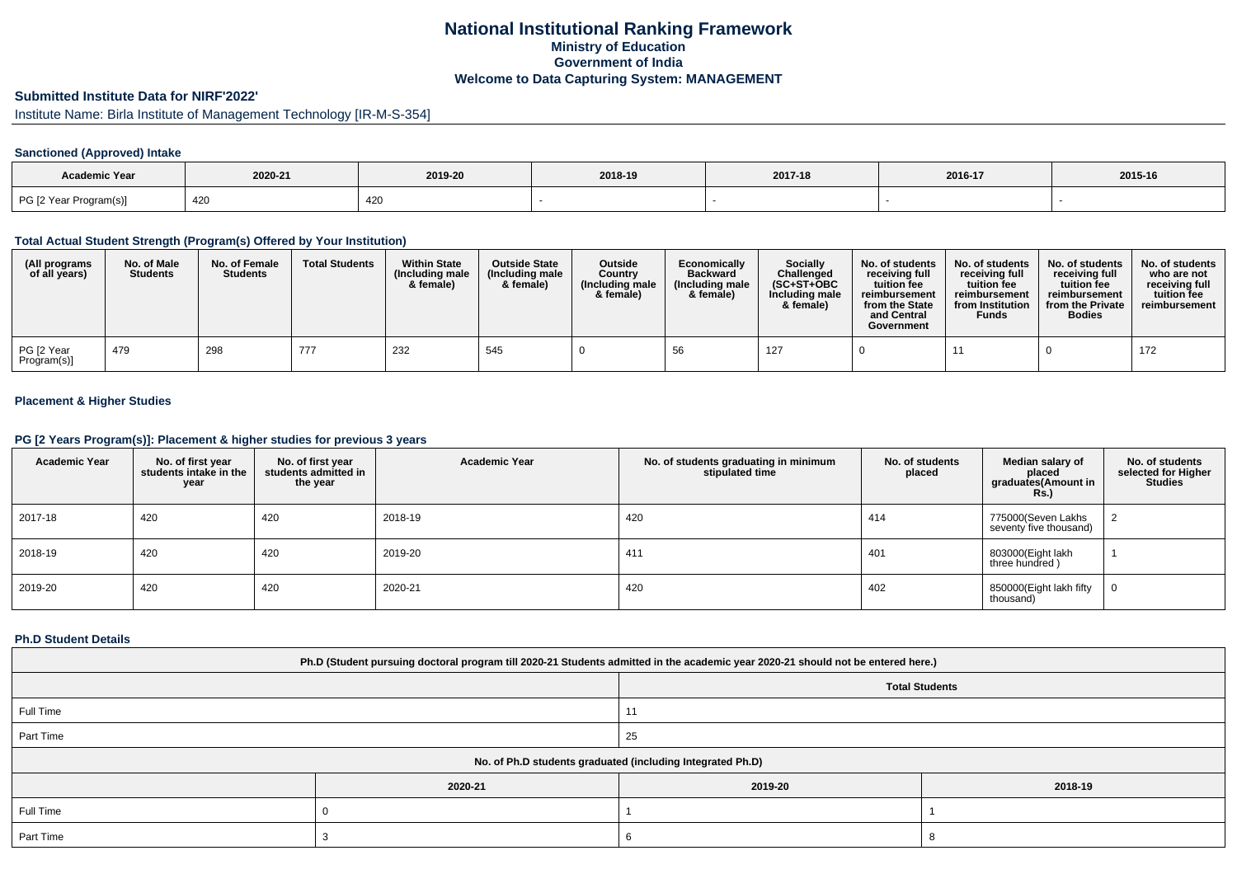# **National Institutional Ranking FrameworkMinistry of Education Government of IndiaWelcome to Data Capturing System: MANAGEMENT**

# **Submitted Institute Data for NIRF'2022'**

Institute Name: Birla Institute of Management Technology [IR-M-S-354]

## **Sanctioned (Approved) Intake**

| <b>Academic Year</b>   |         |         |         |         |         |         |
|------------------------|---------|---------|---------|---------|---------|---------|
|                        | 2020-21 | 2019-20 | 2018-19 | 2017-18 | 2016-17 | 2015-16 |
| PG [2 Year Program(s)] | 420     | 420     |         |         |         |         |

### **Total Actual Student Strength (Program(s) Offered by Your Institution)**

| (All programs<br>of all years) | No. of Male<br><b>Students</b> | No. of Female<br><b>Students</b> | <b>Total Students</b> | <b>Within State</b><br>(Including male<br>& female) | <b>Outside State</b><br>(Including male<br>& female) | Outside<br>Country<br>(Including male<br>& female) | Economically<br><b>Backward</b><br>(Including male<br>& female) | <b>Socially</b><br>Challenged<br>$(SC+ST+OBC$<br>Including male<br>& female) | No. of students<br>receivina full<br>tuition fee<br>reimbursement<br>from the State<br>and Central<br>Government | No. of students<br>receiving full<br>tuition fee<br>reimbursement<br>from Institution<br><b>Funds</b> | No. of students<br>receiving full<br>tuition fee<br>reimbursement<br>from the Private<br><b>Bodies</b> | No. of students  <br>who are not<br>receivina full<br>tuition fee<br>reimbursement |
|--------------------------------|--------------------------------|----------------------------------|-----------------------|-----------------------------------------------------|------------------------------------------------------|----------------------------------------------------|-----------------------------------------------------------------|------------------------------------------------------------------------------|------------------------------------------------------------------------------------------------------------------|-------------------------------------------------------------------------------------------------------|--------------------------------------------------------------------------------------------------------|------------------------------------------------------------------------------------|
| PG [2 Year<br>Program(s)]      | 479                            | 298                              | 777                   | 232                                                 | 545                                                  |                                                    |                                                                 | 127                                                                          |                                                                                                                  |                                                                                                       |                                                                                                        | 172                                                                                |

## **Placement & Higher Studies**

#### **PG [2 Years Program(s)]: Placement & higher studies for previous 3 years**

| <b>Academic Year</b> | No. of first year<br>students intake in the<br>year | No. of first vear<br>students admitted in<br>the year | <b>Academic Year</b> | No. of students graduating in minimum<br>stipulated time | No. of students<br>placed | Median salary of<br>placed<br>graduates(Amount in<br>Rs. | No. of students<br>selected for Higher<br><b>Studies</b> |
|----------------------|-----------------------------------------------------|-------------------------------------------------------|----------------------|----------------------------------------------------------|---------------------------|----------------------------------------------------------|----------------------------------------------------------|
| 2017-18              | 420                                                 | 420                                                   | 2018-19              | 420                                                      | 414                       | 775000(Seven Lakhs<br>seventy five thousand)             |                                                          |
| 2018-19              | 420                                                 | 420                                                   | 2019-20              | 411                                                      | 401                       | 803000(Eight lakh<br>three hundred)                      |                                                          |
| 2019-20              | 420                                                 | 420                                                   | 2020-21              | 420                                                      | 402                       | 850000(Eight lakh fifty<br>thousand)                     | 0                                                        |

### **Ph.D Student Details**

| Ph.D (Student pursuing doctoral program till 2020-21 Students admitted in the academic year 2020-21 should not be entered here.) |                                                            |                |         |  |  |  |  |
|----------------------------------------------------------------------------------------------------------------------------------|------------------------------------------------------------|----------------|---------|--|--|--|--|
| <b>Total Students</b>                                                                                                            |                                                            |                |         |  |  |  |  |
| Full Time                                                                                                                        |                                                            | $\overline{A}$ |         |  |  |  |  |
| Part Time                                                                                                                        |                                                            | 25             |         |  |  |  |  |
|                                                                                                                                  | No. of Ph.D students graduated (including Integrated Ph.D) |                |         |  |  |  |  |
|                                                                                                                                  | 2020-21                                                    | 2019-20        | 2018-19 |  |  |  |  |
| Full Time                                                                                                                        |                                                            |                |         |  |  |  |  |
| Part Time                                                                                                                        |                                                            |                |         |  |  |  |  |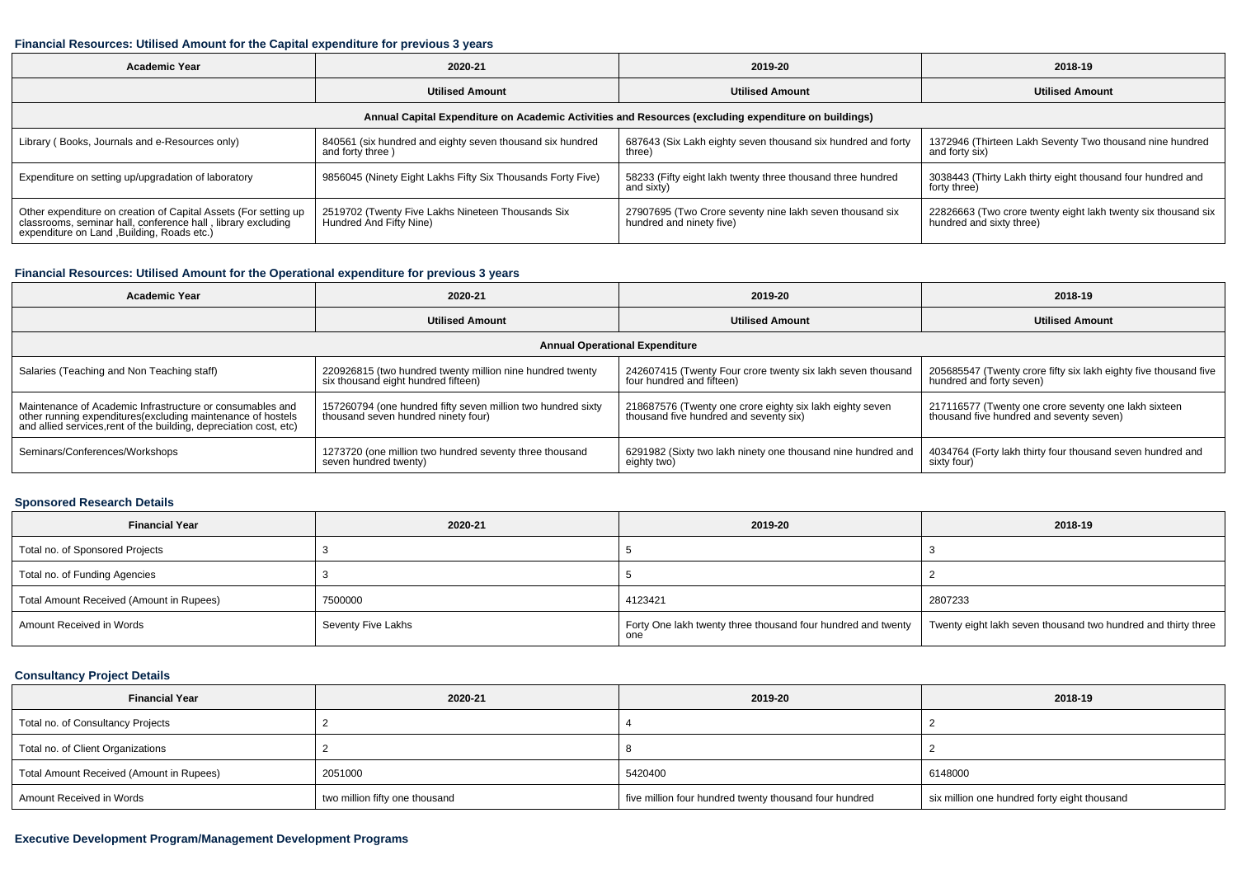#### **Financial Resources: Utilised Amount for the Capital expenditure for previous 3 years**

| Academic Year                                                                                                                                                                  | 2020-21                                                                        | 2019-20                                                                              | 2018-19                                                                                   |  |  |  |  |  |
|--------------------------------------------------------------------------------------------------------------------------------------------------------------------------------|--------------------------------------------------------------------------------|--------------------------------------------------------------------------------------|-------------------------------------------------------------------------------------------|--|--|--|--|--|
|                                                                                                                                                                                | <b>Utilised Amount</b>                                                         | <b>Utilised Amount</b>                                                               | <b>Utilised Amount</b>                                                                    |  |  |  |  |  |
| Annual Capital Expenditure on Academic Activities and Resources (excluding expenditure on buildings)                                                                           |                                                                                |                                                                                      |                                                                                           |  |  |  |  |  |
| Library (Books, Journals and e-Resources only)                                                                                                                                 | 840561 (six hundred and eighty seven thousand six hundred<br>and forty three ) | 687643 (Six Lakh eighty seven thousand six hundred and forty<br>three)               | 1372946 (Thirteen Lakh Seventy Two thousand nine hundred<br>and forty six)                |  |  |  |  |  |
| Expenditure on setting up/upgradation of laboratory                                                                                                                            | 9856045 (Ninety Eight Lakhs Fifty Six Thousands Forty Five)                    | 58233 (Fifty eight lakh twenty three thousand three hundred<br>and sixty)            | 3038443 (Thirty Lakh thirty eight thousand four hundred and<br>forty three)               |  |  |  |  |  |
| Other expenditure on creation of Capital Assets (For setting up<br>classrooms, seminar hall, conference hall, library excluding<br>expenditure on Land , Building, Roads etc.) | 2519702 (Twenty Five Lakhs Nineteen Thousands Six<br>Hundred And Fifty Nine)   | 27907695 (Two Crore seventy nine lakh seven thousand six<br>hundred and ninety five) | 22826663 (Two crore twenty eight lakh twenty six thousand six<br>hundred and sixty three) |  |  |  |  |  |

### **Financial Resources: Utilised Amount for the Operational expenditure for previous 3 years**

| <b>Academic Year</b>                                                                                                              | 2020-21                                                      | 2019-20                                                      | 2018-19                                                          |  |  |  |  |  |  |
|-----------------------------------------------------------------------------------------------------------------------------------|--------------------------------------------------------------|--------------------------------------------------------------|------------------------------------------------------------------|--|--|--|--|--|--|
|                                                                                                                                   | <b>Utilised Amount</b>                                       | <b>Utilised Amount</b>                                       | <b>Utilised Amount</b>                                           |  |  |  |  |  |  |
|                                                                                                                                   | <b>Annual Operational Expenditure</b>                        |                                                              |                                                                  |  |  |  |  |  |  |
| Salaries (Teaching and Non Teaching staff)                                                                                        | 220926815 (two hundred twenty million nine hundred twenty    | 242607415 (Twenty Four crore twenty six lakh seven thousand  | 205685547 (Twenty crore fifty six lakh eighty five thousand five |  |  |  |  |  |  |
|                                                                                                                                   | six thousand eight hundred fifteen)                          | four hundred and fifteen)                                    | hundred and forty seven)                                         |  |  |  |  |  |  |
| Maintenance of Academic Infrastructure or consumables and                                                                         | 157260794 (one hundred fifty seven million two hundred sixty | 218687576 (Twenty one crore eighty six lakh eighty seven     | 217116577 (Twenty one crore seventy one lakh sixteen             |  |  |  |  |  |  |
| other running expenditures(excluding maintenance of hostels<br>and allied services, rent of the building, depreciation cost, etc) | thousand seven hundred ninety four)                          | thousand five hundred and seventy six)                       | thousand five hundred and seventy seven)                         |  |  |  |  |  |  |
| Seminars/Conferences/Workshops                                                                                                    | 1273720 (one million two hundred seventy three thousand      | 6291982 (Sixty two lakh ninety one thousand nine hundred and | 4034764 (Forty lakh thirty four thousand seven hundred and       |  |  |  |  |  |  |
|                                                                                                                                   | seven hundred twenty)                                        | eighty two)                                                  | sixty four)                                                      |  |  |  |  |  |  |

## **Sponsored Research Details**

| <b>Financial Year</b>                    | 2020-21            | 2019-20                                                             | 2018-19                                                       |
|------------------------------------------|--------------------|---------------------------------------------------------------------|---------------------------------------------------------------|
| Total no. of Sponsored Projects          |                    |                                                                     |                                                               |
| Total no. of Funding Agencies            |                    |                                                                     |                                                               |
| Total Amount Received (Amount in Rupees) | 7500000            | 4123421                                                             | 2807233                                                       |
| Amount Received in Words                 | Seventy Five Lakhs | Forty One lakh twenty three thousand four hundred and twenty<br>one | Twenty eight lakh seven thousand two hundred and thirty three |

### **Consultancy Project Details**

| <b>Financial Year</b>                    | 2020-21                        | 2019-20                                                | 2018-19                                      |
|------------------------------------------|--------------------------------|--------------------------------------------------------|----------------------------------------------|
| Total no. of Consultancy Projects        |                                |                                                        |                                              |
| Total no. of Client Organizations        |                                |                                                        |                                              |
| Total Amount Received (Amount in Rupees) | 2051000                        | 5420400                                                | 6148000                                      |
| Amount Received in Words                 | two million fifty one thousand | five million four hundred twenty thousand four hundred | six million one hundred forty eight thousand |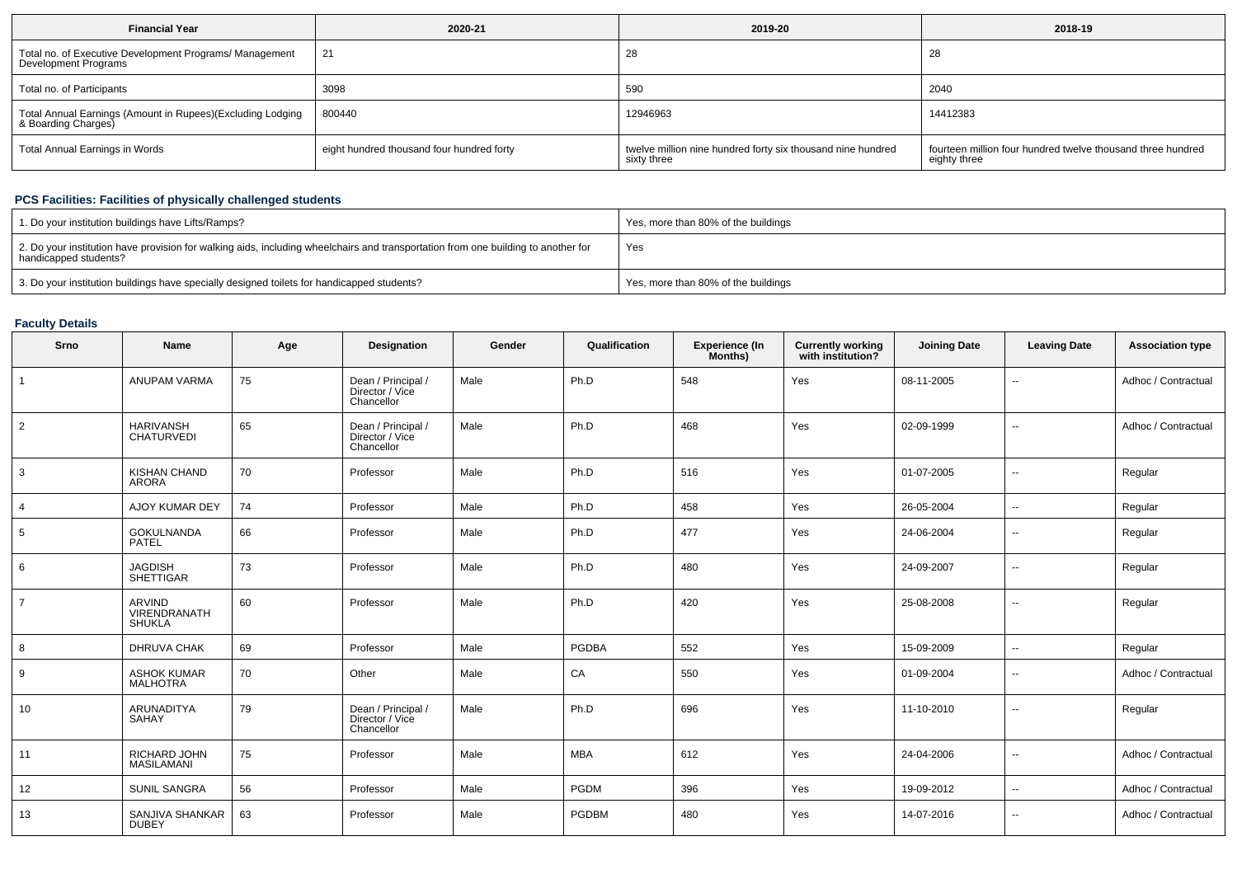| <b>Financial Year</b>                                                             | 2020-21                                   | 2019-20                                                                    | 2018-19                                                                     |
|-----------------------------------------------------------------------------------|-------------------------------------------|----------------------------------------------------------------------------|-----------------------------------------------------------------------------|
| Total no. of Executive Development Programs/ Management<br>Development Programs   | 21                                        | 20                                                                         | 28                                                                          |
| Total no. of Participants                                                         | 3098                                      | 590                                                                        | 2040                                                                        |
| Total Annual Earnings (Amount in Rupees)(Excluding Lodging<br>& Boarding Charges) | 800440                                    | 12946963                                                                   | 14412383                                                                    |
| Total Annual Earnings in Words                                                    | eight hundred thousand four hundred forty | twelve million nine hundred forty six thousand nine hundred<br>sixty three | fourteen million four hundred twelve thousand three hundred<br>eighty three |

## **PCS Facilities: Facilities of physically challenged students**

| 1. Do your institution buildings have Lifts/Ramps?                                                                                                         | Yes, more than 80% of the buildings |
|------------------------------------------------------------------------------------------------------------------------------------------------------------|-------------------------------------|
| 2. Do your institution have provision for walking aids, including wheelchairs and transportation from one building to another for<br>handicapped students? | Yes                                 |
| 3. Do your institution buildings have specially designed toilets for handicapped students?                                                                 | Yes, more than 80% of the buildings |

# **Faculty Details**

| Srno           | Name                                                  | Age | Designation                                         | Gender | Qualification | Experience (In<br>Months) | Currently working<br>with institution? | <b>Joining Date</b> | <b>Leaving Date</b>      | <b>Association type</b> |
|----------------|-------------------------------------------------------|-----|-----------------------------------------------------|--------|---------------|---------------------------|----------------------------------------|---------------------|--------------------------|-------------------------|
| $\overline{1}$ | ANUPAM VARMA                                          | 75  | Dean / Principal /<br>Director / Vice<br>Chancellor | Male   | Ph.D          | 548                       | Yes                                    | 08-11-2005          | -−                       | Adhoc / Contractual     |
| $\overline{2}$ | <b>HARIVANSH</b><br><b>CHATURVEDI</b>                 | 65  | Dean / Principal /<br>Director / Vice<br>Chancellor | Male   | Ph.D          | 468                       | Yes                                    | 02-09-1999          | --                       | Adhoc / Contractual     |
| 3              | <b>KISHAN CHAND</b><br>ARORA                          | 70  | Professor                                           | Male   | Ph.D          | 516                       | Yes                                    | 01-07-2005          | $\overline{\phantom{a}}$ | Regular                 |
| 4              | AJOY KUMAR DEY                                        | 74  | Professor                                           | Male   | Ph.D          | 458                       | Yes                                    | 26-05-2004          | ⊷.                       | Regular                 |
| 5              | <b>GOKULNANDA</b><br><b>PATEL</b>                     | 66  | Professor                                           | Male   | Ph.D          | 477                       | Yes                                    | 24-06-2004          | $\sim$                   | Regular                 |
| 6              | <b>JAGDISH</b><br><b>SHETTIGAR</b>                    | 73  | Professor                                           | Male   | Ph.D          | 480                       | Yes                                    | 24-09-2007          | $\overline{\phantom{a}}$ | Regular                 |
| $\overline{7}$ | <b>ARVIND</b><br><b>VIRENDRANATH</b><br><b>SHUKLA</b> | 60  | Professor                                           | Male   | Ph.D          | 420                       | Yes                                    | 25-08-2008          | $\overline{\phantom{a}}$ | Regular                 |
| 8              | DHRUVA CHAK                                           | 69  | Professor                                           | Male   | <b>PGDBA</b>  | 552                       | Yes                                    | 15-09-2009          | $\overline{\phantom{a}}$ | Regular                 |
| 9              | <b>ASHOK KUMAR</b><br><b>MALHOTRA</b>                 | 70  | Other                                               | Male   | CA            | 550                       | Yes                                    | 01-09-2004          | $\overline{\phantom{a}}$ | Adhoc / Contractual     |
| 10             | <b>ARUNADITYA</b><br>SAHAY                            | 79  | Dean / Principal /<br>Director / Vice<br>Chancellor | Male   | Ph.D          | 696                       | Yes                                    | 11-10-2010          | --                       | Regular                 |
| 11             | RICHARD JOHN<br><b>MASILAMANI</b>                     | 75  | Professor                                           | Male   | <b>MBA</b>    | 612                       | Yes                                    | 24-04-2006          | --                       | Adhoc / Contractual     |
| 12             | <b>SUNIL SANGRA</b>                                   | 56  | Professor                                           | Male   | PGDM          | 396                       | Yes                                    | 19-09-2012          | --                       | Adhoc / Contractual     |
| 13             | SANJIVA SHANKAR<br><b>DUBEY</b>                       | 63  | Professor                                           | Male   | <b>PGDBM</b>  | 480                       | Yes                                    | 14-07-2016          | --                       | Adhoc / Contractual     |
|                |                                                       |     |                                                     |        |               |                           |                                        |                     |                          |                         |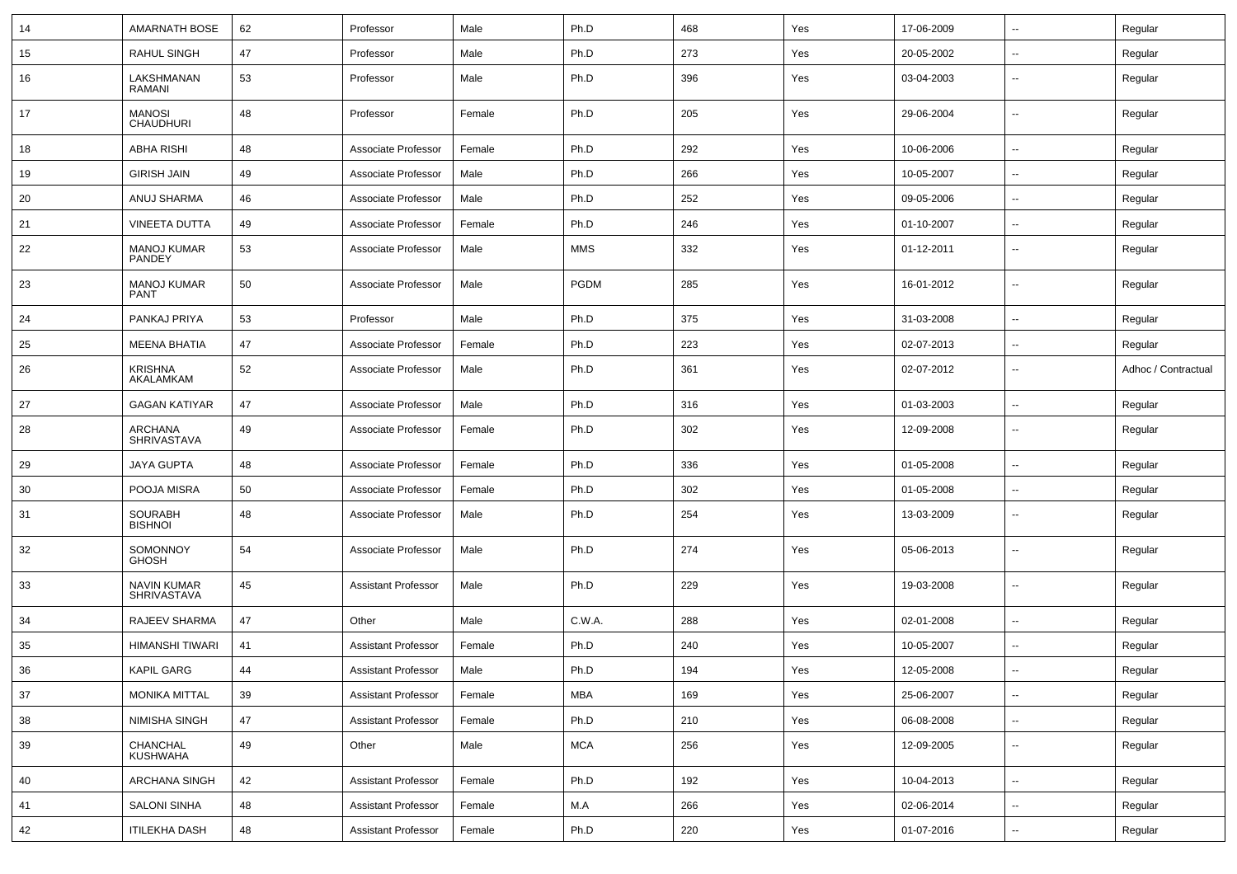| 14 | <b>AMARNATH BOSE</b>              | 62 | Professor                  | Male   | Ph.D        | 468 | Yes | 17-06-2009 | $\sim$                   | Regular             |
|----|-----------------------------------|----|----------------------------|--------|-------------|-----|-----|------------|--------------------------|---------------------|
| 15 | <b>RAHUL SINGH</b>                | 47 | Professor                  | Male   | Ph.D        | 273 | Yes | 20-05-2002 | Ξ.                       | Regular             |
| 16 | LAKSHMANAN<br>RAMANI              | 53 | Professor                  | Male   | Ph.D        | 396 | Yes | 03-04-2003 | $\sim$                   | Regular             |
| 17 | <b>MANOSI</b><br><b>CHAUDHURI</b> | 48 | Professor                  | Female | Ph.D        | 205 | Yes | 29-06-2004 | $\sim$                   | Regular             |
| 18 | <b>ABHA RISHI</b>                 | 48 | Associate Professor        | Female | Ph.D        | 292 | Yes | 10-06-2006 | $\sim$                   | Regular             |
| 19 | <b>GIRISH JAIN</b>                | 49 | Associate Professor        | Male   | Ph.D        | 266 | Yes | 10-05-2007 | --                       | Regular             |
| 20 | ANUJ SHARMA                       | 46 | Associate Professor        | Male   | Ph.D        | 252 | Yes | 09-05-2006 | Ξ.                       | Regular             |
| 21 | <b>VINEETA DUTTA</b>              | 49 | Associate Professor        | Female | Ph.D        | 246 | Yes | 01-10-2007 | $\sim$                   | Regular             |
| 22 | <b>MANOJ KUMAR</b><br>PANDEY      | 53 | Associate Professor        | Male   | MMS         | 332 | Yes | 01-12-2011 | $\sim$                   | Regular             |
| 23 | <b>MANOJ KUMAR</b><br><b>PANT</b> | 50 | Associate Professor        | Male   | <b>PGDM</b> | 285 | Yes | 16-01-2012 | $\sim$                   | Regular             |
| 24 | PANKAJ PRIYA                      | 53 | Professor                  | Male   | Ph.D        | 375 | Yes | 31-03-2008 | $\sim$                   | Regular             |
| 25 | <b>MEENA BHATIA</b>               | 47 | Associate Professor        | Female | Ph.D        | 223 | Yes | 02-07-2013 | $\sim$                   | Regular             |
| 26 | <b>KRISHNA</b><br>AKALAMKAM       | 52 | Associate Professor        | Male   | Ph.D        | 361 | Yes | 02-07-2012 | $\sim$                   | Adhoc / Contractual |
| 27 | <b>GAGAN KATIYAR</b>              | 47 | Associate Professor        | Male   | Ph.D        | 316 | Yes | 01-03-2003 | $\sim$                   | Regular             |
| 28 | ARCHANA<br><b>SHRIVASTAVA</b>     | 49 | Associate Professor        | Female | Ph.D        | 302 | Yes | 12-09-2008 | --                       | Regular             |
| 29 | JAYA GUPTA                        | 48 | Associate Professor        | Female | Ph.D        | 336 | Yes | 01-05-2008 | $\overline{a}$           | Regular             |
| 30 | POOJA MISRA                       | 50 | Associate Professor        | Female | Ph.D        | 302 | Yes | 01-05-2008 | Ξ.                       | Regular             |
| 31 | <b>SOURABH</b><br><b>BISHNOI</b>  | 48 | Associate Professor        | Male   | Ph.D        | 254 | Yes | 13-03-2009 | $\sim$                   | Regular             |
| 32 | SOMONNOY<br><b>GHOSH</b>          | 54 | Associate Professor        | Male   | Ph.D        | 274 | Yes | 05-06-2013 | $\sim$                   | Regular             |
| 33 | NAVIN KUMAR<br>SHRIVASTAVA        | 45 | <b>Assistant Professor</b> | Male   | Ph.D        | 229 | Yes | 19-03-2008 | $\sim$                   | Regular             |
| 34 | RAJEEV SHARMA                     | 47 | Other                      | Male   | C.W.A.      | 288 | Yes | 02-01-2008 | $\sim$                   | Regular             |
| 35 | HIMANSHI TIWARI                   | 41 | <b>Assistant Professor</b> | Female | Ph.D        | 240 | Yes | 10-05-2007 | --                       | Regular             |
| 36 | <b>KAPIL GARG</b>                 | 44 | <b>Assistant Professor</b> | Male   | Ph.D        | 194 | Yes | 12-05-2008 | $\sim$                   | Regular             |
| 37 | <b>MONIKA MITTAL</b>              | 39 | <b>Assistant Professor</b> | Female | <b>MBA</b>  | 169 | Yes | 25-06-2007 | $\sim$                   | Regular             |
| 38 | NIMISHA SINGH                     | 47 | <b>Assistant Professor</b> | Female | Ph.D        | 210 | Yes | 06-08-2008 | ш.                       | Regular             |
| 39 | CHANCHAL<br><b>KUSHWAHA</b>       | 49 | Other                      | Male   | <b>MCA</b>  | 256 | Yes | 12-09-2005 | u.                       | Regular             |
| 40 | <b>ARCHANA SINGH</b>              | 42 | <b>Assistant Professor</b> | Female | Ph.D        | 192 | Yes | 10-04-2013 | ш.                       | Regular             |
| 41 | <b>SALONI SINHA</b>               | 48 | <b>Assistant Professor</b> | Female | M.A         | 266 | Yes | 02-06-2014 | ш.                       | Regular             |
| 42 | <b>ITILEKHA DASH</b>              | 48 | <b>Assistant Professor</b> | Female | Ph.D        | 220 | Yes | 01-07-2016 | $\overline{\phantom{a}}$ | Regular             |